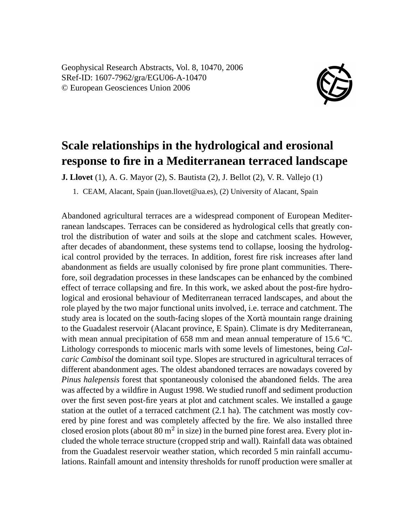Geophysical Research Abstracts, Vol. 8, 10470, 2006 SRef-ID: 1607-7962/gra/EGU06-A-10470 © European Geosciences Union 2006



## **Scale relationships in the hydrological and erosional response to fire in a Mediterranean terraced landscape**

**J. Llovet** (1), A. G. Mayor (2), S. Bautista (2), J. Bellot (2), V. R. Vallejo (1)

1. CEAM, Alacant, Spain (juan.llovet@ua.es), (2) University of Alacant, Spain

Abandoned agricultural terraces are a widespread component of European Mediterranean landscapes. Terraces can be considered as hydrological cells that greatly control the distribution of water and soils at the slope and catchment scales. However, after decades of abandonment, these systems tend to collapse, loosing the hydrological control provided by the terraces. In addition, forest fire risk increases after land abandonment as fields are usually colonised by fire prone plant communities. Therefore, soil degradation processes in these landscapes can be enhanced by the combined effect of terrace collapsing and fire. In this work, we asked about the post-fire hydrological and erosional behaviour of Mediterranean terraced landscapes, and about the role played by the two major functional units involved, i.e. terrace and catchment. The study area is located on the south-facing slopes of the Xortà mountain range draining to the Guadalest reservoir (Alacant province, E Spain). Climate is dry Mediterranean, with mean annual precipitation of 658 mm and mean annual temperature of 15.6 °C. Lithology corresponds to miocenic marls with some levels of limestones, being *Calcaric Cambisol* the dominant soil type. Slopes are structured in agricultural terraces of different abandonment ages. The oldest abandoned terraces are nowadays covered by *Pinus halepensis* forest that spontaneously colonised the abandoned fields. The area was affected by a wildfire in August 1998. We studied runoff and sediment production over the first seven post-fire years at plot and catchment scales. We installed a gauge station at the outlet of a terraced catchment (2.1 ha). The catchment was mostly covered by pine forest and was completely affected by the fire. We also installed three closed erosion plots (about  $80 \text{ m}^2$  in size) in the burned pine forest area. Every plot included the whole terrace structure (cropped strip and wall). Rainfall data was obtained from the Guadalest reservoir weather station, which recorded 5 min rainfall accumulations. Rainfall amount and intensity thresholds for runoff production were smaller at